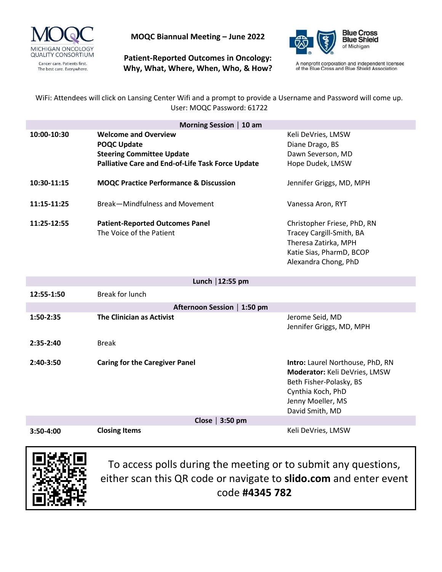

**MOQC Biannual Meeting – June 2022**

**Patient-Reported Outcomes in Oncology: Why, What, Where, When, Who, & How?**



A nonprofit corporation and independent licensee<br>of the Blue Cross and Blue Shield Association

WiFi: Attendees will click on Lansing Center Wifi and a prompt to provide a Username and Password will come up. User: MOQC Password: 61722

| Morning Session   10 am |                                                          |                             |
|-------------------------|----------------------------------------------------------|-----------------------------|
| 10:00-10:30             | <b>Welcome and Overview</b>                              | Keli DeVries, LMSW          |
|                         | <b>POQC Update</b>                                       | Diane Drago, BS             |
|                         | <b>Steering Committee Update</b>                         | Dawn Severson, MD           |
|                         | <b>Palliative Care and End-of-Life Task Force Update</b> | Hope Dudek, LMSW            |
| 10:30-11:15             | <b>MOQC Practice Performance &amp; Discussion</b>        | Jennifer Griggs, MD, MPH    |
| 11:15-11:25             | Break-Mindfulness and Movement                           | Vanessa Aron, RYT           |
| 11:25-12:55             | <b>Patient-Reported Outcomes Panel</b>                   | Christopher Friese, PhD, RN |
|                         | The Voice of the Patient                                 | Tracey Cargill-Smith, BA    |
|                         |                                                          | Theresa Zatirka, MPH        |
|                         |                                                          | Katie Sias, PharmD, BCOP    |
|                         |                                                          | Alexandra Chong, PhD        |

| Lunch $ 12:55$ pm           |                                       |                                                                                                                                                                  |  |
|-----------------------------|---------------------------------------|------------------------------------------------------------------------------------------------------------------------------------------------------------------|--|
| 12:55-1:50                  | Break for lunch                       |                                                                                                                                                                  |  |
| Afternoon Session   1:50 pm |                                       |                                                                                                                                                                  |  |
| $1:50-2:35$                 | The Clinician as Activist             | Jerome Seid, MD<br>Jennifer Griggs, MD, MPH                                                                                                                      |  |
| $2:35-2:40$                 | Break                                 |                                                                                                                                                                  |  |
| $2:40-3:50$                 | <b>Caring for the Caregiver Panel</b> | Intro: Laurel Northouse, PhD, RN<br><b>Moderator:</b> Keli DeVries, LMSW<br>Beth Fisher-Polasky, BS<br>Cynthia Koch, PhD<br>Jenny Moeller, MS<br>David Smith, MD |  |
| Close $ 3:50$ pm            |                                       |                                                                                                                                                                  |  |
| $3:50-4:00$                 | <b>Closing Items</b>                  | Keli DeVries, LMSW                                                                                                                                               |  |



To access polls during the meeting or to submit any questions, either scan this QR code or navigate to **slido.com** and enter event code **#4345 782**